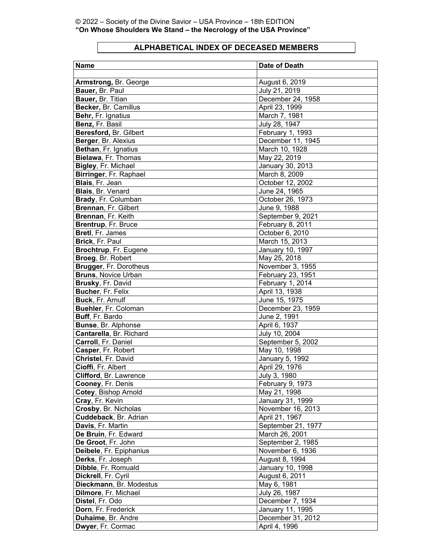## **ALPHABETICAL INDEX OF DECEASED MEMBERS**

| <b>Name</b>                   | <b>Date of Death</b> |
|-------------------------------|----------------------|
|                               |                      |
| <b>Armstrong, Br. George</b>  | August 6, 2019       |
| Bauer, Br. Paul               | July 21, 2019        |
| Bauer, Br. Titian             | December 24, 1958    |
| Becker, Br. Camillus          | April 23, 1999       |
| Behr, Fr. Ignatius            | March 7, 1981        |
| Benz, Fr. Basil               | July 28, 1947        |
| Beresford, Br. Gilbert        | February 1, 1993     |
| Berger, Br. Alexius           | December 11, 1945    |
| Bethan, Fr. Ignatius          | March 10, 1928       |
| Bielawa, Fr. Thomas           | May 22, 2019         |
| Bigley, Fr. Michael           | January 30, 2013     |
| Birringer, Fr. Raphael        | March 8, 2009        |
| Blais, Fr. Jean               | October 12, 2002     |
| <b>Blais, Br. Venard</b>      | June 24, 1965        |
| Brady, Fr. Columban           | October 26, 1973     |
| Brennan, Fr. Gilbert          | June 9, 1988         |
| Brennan, Fr. Keith            | September 9, 2021    |
| Brentrup, Fr. Bruce           | February 8, 2011     |
| Bretl, Fr. James              | October 6, 2010      |
| Brick, Fr. Paul               | March 15, 2013       |
| Brochtrup, Fr. Eugene         | January 10, 1997     |
| Broeg, Br. Robert             | May 25, 2018         |
| <b>Brugger, Fr. Dorotheus</b> | November 3, 1955     |
| <b>Bruns, Novice Urban</b>    | February 23, 1951    |
| Brusky, Fr. David             | February 1, 2014     |
| Bucher, Fr. Felix             | April 13, 1938       |
| Buck, Fr. Arnulf              | June 15, 1975        |
| Buehler, Fr. Coloman          | December 23, 1959    |
| Buff, Fr. Bardo               | June 2, 1991         |
| <b>Bunse, Br. Alphonse</b>    | April 6, 1937        |
| Cantarella, Br. Richard       | July 10, 2004        |
| Carroll, Fr. Daniel           | September 5, 2002    |
| Casper, Fr. Robert            | May 10, 1998         |
| Christel, Fr. David           | January 5, 1992      |
| Cioffi, Fr. Albert            | April 29, 1976       |
| Clifford, Br. Lawrence        | July 3, 1980         |
| Cooney, Fr. Denis             | February 9, 1973     |
| Cotey, Bishop Arnold          | May 21, 1998         |
| Cray, Fr. Kevin               | January 31, 1999     |
| Crosby, Br. Nicholas          | November 16, 2013    |
| Cuddeback, Br. Adrian         | April 21, 1967       |
| Davis, Fr. Martin             | September 21, 1977   |
| De Bruin, Fr. Edward          | March 26, 2001       |
| De Groot, Fr. John            | September 2, 1985    |
| Deibele, Fr. Epiphanius       | November 6, 1936     |
| Derks, Fr. Joseph             | August 8, 1994       |
| Dibble, Fr. Romuald           | January 10, 1998     |
| Dickrell, Fr. Cyril           | August 6, 2011       |
| Dieckmann, Br. Modestus       | May 6, 1981          |
| Dilmore, Fr. Michael          | July 26, 1987        |
| Distel, Fr. Odo               | December 7, 1934     |
| Dorn, Fr. Frederick           | January 11, 1995     |
| Duhaime, Br. Andre            | December 31, 2012    |
| Dwyer, Fr. Cormac             | April 4, 1996        |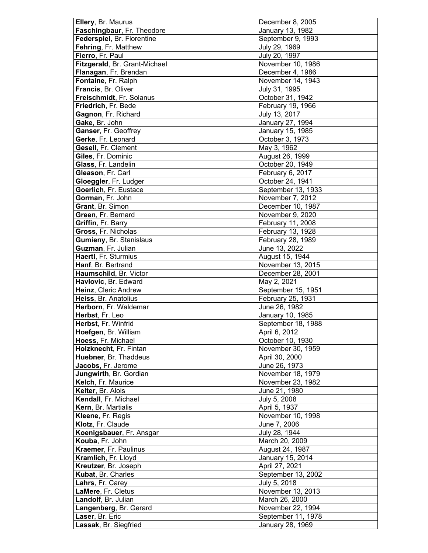| Ellery, Br. Maurus            | December 8, 2005   |
|-------------------------------|--------------------|
| Faschingbaur, Fr. Theodore    | January 13, 1982   |
| Federspiel, Br. Florentine    | September 9, 1993  |
| Fehring, Fr. Matthew          | July 29, 1969      |
| Fierro, Fr. Paul              | July 20, 1997      |
| Fitzgerald, Br. Grant-Michael | November 10, 1986  |
| Flanagan, Fr. Brendan         | December 4, 1986   |
| Fontaine, Fr. Ralph           | November 14, 1943  |
| Francis, Br. Oliver           | July 31, 1995      |
| Freischmidt, Fr. Solanus      | October 31, 1942   |
| Friedrich, Fr. Bede           | February 19, 1966  |
|                               |                    |
| Gagnon, Fr. Richard           | July 13, 2017      |
| Gake, Br. John                | January 27, 1994   |
| Ganser, Fr. Geoffrey          | January 15, 1985   |
| Gerke, Fr. Leonard            | October 3, 1973    |
| Gesell, Fr. Clement           | May 3, 1962        |
| Giles, Fr. Dominic            | August 26, 1999    |
| Glass, Fr. Landelin           | October 20, 1949   |
| Gleason, Fr. Carl             | February 6, 2017   |
| Gloeggler, Fr. Ludger         | October 24, 1941   |
| Goerlich, Fr. Eustace         | September 13, 1933 |
| Gorman, Fr. John              | November 7, 2012   |
| Grant, Br. Simon              | December 10, 1987  |
| Green, Fr. Bernard            | November 9, 2020   |
| Griffin, Fr. Barry            | February 11, 2008  |
| Gross, Fr. Nicholas           | February 13, 1928  |
| Gumieny, Br. Stanislaus       | February 28, 1989  |
| Guzman, Fr. Julian            | June 13, 2022      |
| Haertl, Fr. Sturmius          | August 15, 1944    |
| Hanf, Br. Bertrand            | November 13, 2015  |
| Haumschild, Br. Victor        | December 28, 2001  |
| Havlovic, Br. Edward          | May 2, 2021        |
| Heinz, Cleric Andrew          | September 15, 1951 |
| Heiss, Br. Anatolius          |                    |
|                               | February 25, 1931  |
| Herborn, Fr. Waldemar         | June 26, 1982      |
| Herbst, Fr. Leo               | January 10, 1985   |
| Herbst, Fr. Winfrid           | September 18, 1988 |
| Hoefgen, Br. William          | April 6, 2012      |
| Hoess, Fr. Michael            | October 10, 1930   |
| Holzknecht, Fr. Fintan        | November 30, 1959  |
| Huebner, Br. Thaddeus         | April 30, 2000     |
| Jacobs, Fr. Jerome            | June 26, 1973      |
| Jungwirth, Br. Gordian        | November 18, 1979  |
| Kelch, Fr. Maurice            | November 23, 1982  |
| Kelter, Br. Alois             | June 21, 1980      |
| Kendall, Fr. Michael          | July 5, 2008       |
| Kern, Br. Martialis           | April 5, 1937      |
| Kleene, Fr. Regis             | November 10, 1998  |
| Klotz, Fr. Claude             | June 7, 2006       |
| Koenigsbauer, Fr. Ansgar      | July 28, 1944      |
| Kouba, Fr. John               | March 20, 2009     |
| Kraemer, Fr. Paulinus         | August 24, 1987    |
| Kramlich, Fr. Lloyd           |                    |
|                               | January 15, 2014   |
| Kreutzer, Br. Joseph          | April 27, 2021     |
| Kubat, Br. Charles            | September 13, 2002 |
| Lahrs, Fr. Carey              | July 5, 2018       |
| LaMere, Fr. Cletus            | November 13, 2013  |
| Landolf, Br. Julian           | March 26, 2000     |
| Langenberg, Br. Gerard        | November 22, 1994  |
| Laser, Br. Eric               | September 11, 1978 |
| Lassak, Br. Siegfried         | January 28, 1969   |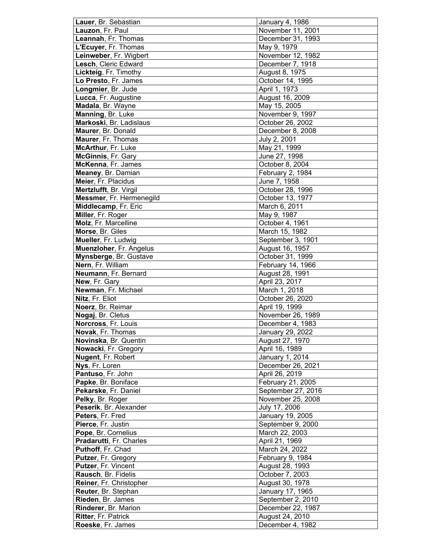| Lauer, Br. Sebastian     | January 4, 1986                      |
|--------------------------|--------------------------------------|
| Lauzon, Fr. Paul         | November 11, 2001                    |
| Leannah, Fr. Thomas      | December 31, 1993                    |
| L'Ecuyer, Fr. Thomas     | May 9, 1979                          |
| Leinweber, Fr. Wigbert   | November 12, 1982                    |
| Lesch, Cleric Edward     | December 7, 1918                     |
| Lickteig, Fr. Timothy    | August 8, 1975                       |
| Lo Presto, Fr. James     | October 14, 1995                     |
| Longmier, Br. Jude       | April 1, 1973                        |
| Lucca, Fr. Augustine     | August 16, 2009                      |
| Madala, Br. Wayne        | May 15, 2005                         |
| Manning, Br. Luke        | November 9, 1997                     |
| Markoski, Br. Ladislaus  | October 26, 2002                     |
| Maurer, Br. Donald       | December 8, 2008                     |
| Maurer, Fr. Thomas       | July 2, 2001                         |
| McArthur, Fr. Luke       | May 21, 1999                         |
| McGinnis, Fr. Gary       | June 27, 1998                        |
| McKenna, Fr. James       | October 8, 2004                      |
| Meaney, Br. Damian       | February 2, 1984                     |
| Meier, Fr. Placidus      | June 7, 1958                         |
| Mertzlufft, Br. Virgil   | October 28, 1996                     |
| Messmer, Fr. Hermenegild | October 13, 1977                     |
| Middlecamp, Fr. Eric     | March 6, 2011                        |
| Miller, Fr. Roger        | May 9, 1987                          |
| Molz, Fr. Marcelline     | October 4, 1961                      |
| Morse, Br. Giles         | March 15, 1982                       |
| Mueller, Fr. Ludwig      | September 3, 1901                    |
| Muenzloher, Fr. Angelus  | August 16, 1957                      |
| Mynsberge, Br. Gustave   | October 31, 1999                     |
| Nern, Fr. William        | February 14, 1966                    |
| Neumann, Fr. Bernard     | August 28, 1991                      |
| New, Fr. Gary            | April 23, 2017                       |
| Newman, Fr. Michael      | March 1, 2018                        |
| Nitz, Fr. Eliot          | October 26, 2020                     |
| Noerz, Br. Reimar        | April 19, 1999                       |
| Nogaj, Br. Cletus        | November 26, 1989                    |
| Norcross, Fr. Louis      | December 4, 1983                     |
| Novak, Fr. Thomas        | January 29, 2022                     |
|                          |                                      |
| Novinska, Br. Quentin    | August 27, 1970                      |
| Nowacki, Fr. Gregory     | April 16, 1989                       |
| Nugent, Fr. Robert       | January 1, 2014<br>December 26, 2021 |
| Nys, Fr. Loren           |                                      |
| Pantuso, Fr. John        | April 26, 2019                       |
| Papke, Br. Boniface      | February 21, 2005                    |
| Pekarske, Fr. Daniel     | September 27, 2016                   |
| Pelky, Br. Roger         | November 25, 2008                    |
| Peserik, Br. Alexander   | July 17, 2006                        |
| Peters, Fr. Fred         | January 19, 2005                     |
| Pierce, Fr. Justin       | September 9, 2000                    |
| Pope, Br. Cornelius      | March 22, 2003                       |
| Pradarutti, Fr. Charles  | April 21, 1969                       |
| Puthoff, Fr. Chad        | March 24, 2022                       |
| Putzer, Fr. Gregory      | February 9, 1984                     |
| Putzer, Fr. Vincent      | August 28, 1993                      |
| Rausch, Br. Fidelis      | October 7, 2003                      |
| Reiner, Fr. Christopher  | August 30, 1978                      |
| Reuter, Br. Stephan      | January 17, 1965                     |
| Rieden, Br. James        | September 2, 2010                    |
| Rinderer, Br. Marion     | December 22, 1987                    |
| Ritter, Fr. Patrick      | August 24, 2010                      |
| Roeske, Fr. James        | December 4, 1982                     |